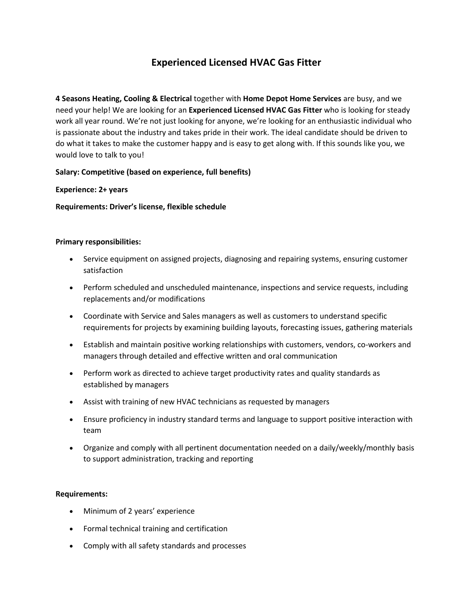# **Experienced Licensed HVAC Gas Fitter**

**4 Seasons Heating, Cooling & Electrical** together with **Home Depot Home Services** are busy, and we need your help! We are looking for an **Experienced Licensed HVAC Gas Fitter** who is looking for steady work all year round. We're not just looking for anyone, we're looking for an enthusiastic individual who is passionate about the industry and takes pride in their work. The ideal candidate should be driven to do what it takes to make the customer happy and is easy to get along with. If this sounds like you, we would love to talk to you!

## **Salary: Competitive (based on experience, full benefits)**

## **Experience: 2+ years**

**Requirements: Driver's license, flexible schedule**

#### **Primary responsibilities:**

- Service equipment on assigned projects, diagnosing and repairing systems, ensuring customer satisfaction
- Perform scheduled and unscheduled maintenance, inspections and service requests, including replacements and/or modifications
- Coordinate with Service and Sales managers as well as customers to understand specific requirements for projects by examining building layouts, forecasting issues, gathering materials
- Establish and maintain positive working relationships with customers, vendors, co-workers and managers through detailed and effective written and oral communication
- Perform work as directed to achieve target productivity rates and quality standards as established by managers
- Assist with training of new HVAC technicians as requested by managers
- Ensure proficiency in industry standard terms and language to support positive interaction with team
- Organize and comply with all pertinent documentation needed on a daily/weekly/monthly basis to support administration, tracking and reporting

## **Requirements:**

- Minimum of 2 years' experience
- Formal technical training and certification
- Comply with all safety standards and processes